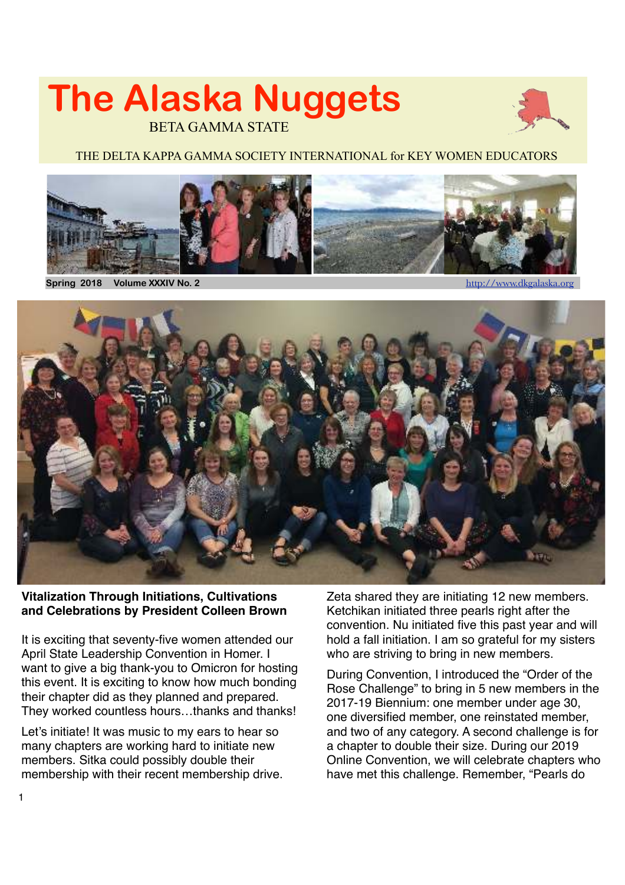# **The Alaska Nuggets**  BETA GAMMA STATE



#### THE DELTA KAPPA GAMMA SOCIETY INTERNATIONAL for KEY WOMEN EDUCATORS



Spring 2018 Volume XXXIV No. 2



#### **Vitalization Through Initiations, Cultivations and Celebrations by President Colleen Brown**

It is exciting that seventy-five women attended our April State Leadership Convention in Homer. I want to give a big thank-you to Omicron for hosting this event. It is exciting to know how much bonding their chapter did as they planned and prepared. They worked countless hours…thanks and thanks!

Let's initiate! It was music to my ears to hear so many chapters are working hard to initiate new members. Sitka could possibly double their membership with their recent membership drive. Zeta shared they are initiating 12 new members. Ketchikan initiated three pearls right after the convention. Nu initiated five this past year and will hold a fall initiation. I am so grateful for my sisters who are striving to bring in new members.

During Convention, I introduced the "Order of the Rose Challenge" to bring in 5 new members in the 2017-19 Biennium: one member under age 30, one diversified member, one reinstated member, and two of any category. A second challenge is for a chapter to double their size. During our 2019 Online Convention, we will celebrate chapters who have met this challenge. Remember, "Pearls do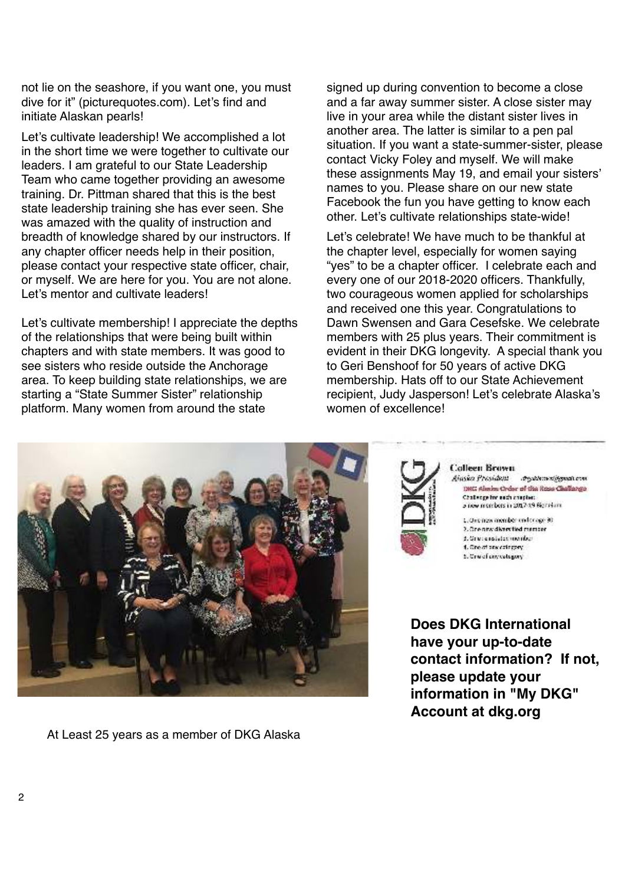not lie on the seashore, if you want one, you must dive for it" (picturequotes.com). Let's find and initiate Alaskan pearls!

Let's cultivate leadership! We accomplished a lot in the short time we were together to cultivate our leaders. I am grateful to our State Leadership Team who came together providing an awesome training. Dr. Pittman shared that this is the best state leadership training she has ever seen. She was amazed with the quality of instruction and breadth of knowledge shared by our instructors. If any chapter officer needs help in their position, please contact your respective state officer, chair, or myself. We are here for you. You are not alone. Let's mentor and cultivate leaders!

Let's cultivate membership! I appreciate the depths of the relationships that were being built within chapters and with state members. It was good to see sisters who reside outside the Anchorage area. To keep building state relationships, we are starting a "State Summer Sister" relationship platform. Many women from around the state

signed up during convention to become a close and a far away summer sister. A close sister may live in your area while the distant sister lives in another area. The latter is similar to a pen pal situation. If you want a state-summer-sister, please contact Vicky Foley and myself. We will make these assignments May 19, and email your sisters' names to you. Please share on our new state Facebook the fun you have getting to know each other. Let's cultivate relationships state-wide!

Let's celebrate! We have much to be thankful at the chapter level, especially for women saying "yes" to be a chapter officer. I celebrate each and every one of our 2018-2020 officers. Thankfully, two courageous women applied for scholarships and received one this year. Congratulations to Dawn Swensen and Gara Cesefske. We celebrate members with 25 plus years. Their commitment is evident in their DKG longevity. A special thank you to Geri Benshoof for 50 years of active DKG membership. Hats off to our State Achievement recipient, Judy Jasperson! Let's celebrate Alaska's women of excellence!



At Least 25 years as a member of DKG Alaska



**Colleen Brown** 

Ainsion Prosident Against the products. 1982 Alesios Order of the Rose Challange Challenge for each amother. a new morebors in 2017-19 Bigital and

1. One new member under age 30 2. Gregory: diversitied member 4. New post-benearder 1. One of one coincory. 5. Crwef coverdagery

**Does DKG International have your up-to-date contact information? If not, please update your information in "My DKG" Account at dkg.org**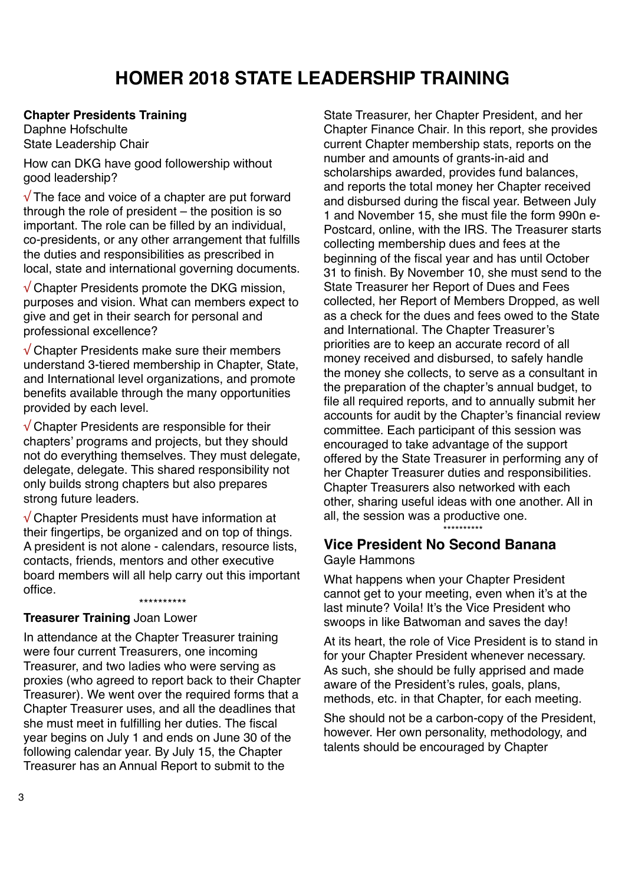# **HOMER 2018 STATE LEADERSHIP TRAINING**

#### **Chapter Presidents Training**

Daphne Hofschulte State Leadership Chair

How can DKG have good followership without good leadership?

 $\sqrt{T}$  The face and voice of a chapter are put forward through the role of president – the position is so important. The role can be filled by an individual, co-presidents, or any other arrangement that fulfills the duties and responsibilities as prescribed in local, state and international governing documents.

√ Chapter Presidents promote the DKG mission, purposes and vision. What can members expect to give and get in their search for personal and professional excellence?

 $\sqrt{\frac{1}{1}}$ Chapter Presidents make sure their members understand 3-tiered membership in Chapter, State, and International level organizations, and promote benefits available through the many opportunities provided by each level.

√ Chapter Presidents are responsible for their chapters' programs and projects, but they should not do everything themselves. They must delegate, delegate, delegate. This shared responsibility not only builds strong chapters but also prepares strong future leaders.

√ Chapter Presidents must have information at their fingertips, be organized and on top of things. A president is not alone - calendars, resource lists, contacts, friends, mentors and other executive board members will all help carry out this important office.

\*\*\*\*\*\*\*\*\*\*

#### **Treasurer Training** Joan Lower

In attendance at the Chapter Treasurer training were four current Treasurers, one incoming Treasurer, and two ladies who were serving as proxies (who agreed to report back to their Chapter Treasurer). We went over the required forms that a Chapter Treasurer uses, and all the deadlines that she must meet in fulfilling her duties. The fiscal year begins on July 1 and ends on June 30 of the following calendar year. By July 15, the Chapter Treasurer has an Annual Report to submit to the

State Treasurer, her Chapter President, and her Chapter Finance Chair. In this report, she provides current Chapter membership stats, reports on the number and amounts of grants-in-aid and scholarships awarded, provides fund balances, and reports the total money her Chapter received and disbursed during the fiscal year. Between July 1 and November 15, she must file the form 990n e-Postcard, online, with the IRS. The Treasurer starts collecting membership dues and fees at the beginning of the fiscal year and has until October 31 to finish. By November 10, she must send to the State Treasurer her Report of Dues and Fees collected, her Report of Members Dropped, as well as a check for the dues and fees owed to the State and International. The Chapter Treasurer's priorities are to keep an accurate record of all money received and disbursed, to safely handle the money she collects, to serve as a consultant in the preparation of the chapter's annual budget, to file all required reports, and to annually submit her accounts for audit by the Chapter's financial review committee. Each participant of this session was encouraged to take advantage of the support offered by the State Treasurer in performing any of her Chapter Treasurer duties and responsibilities. Chapter Treasurers also networked with each other, sharing useful ideas with one another. All in all, the session was a productive one.

# **Vice President No Second Banana**

Gayle Hammons

What happens when your Chapter President cannot get to your meeting, even when it's at the last minute? Voila! It's the Vice President who swoops in like Batwoman and saves the day!

\*\*\*\*\*\*\*\*\*\*

At its heart, the role of Vice President is to stand in for your Chapter President whenever necessary. As such, she should be fully apprised and made aware of the President's rules, goals, plans, methods, etc. in that Chapter, for each meeting.

She should not be a carbon-copy of the President, however. Her own personality, methodology, and talents should be encouraged by Chapter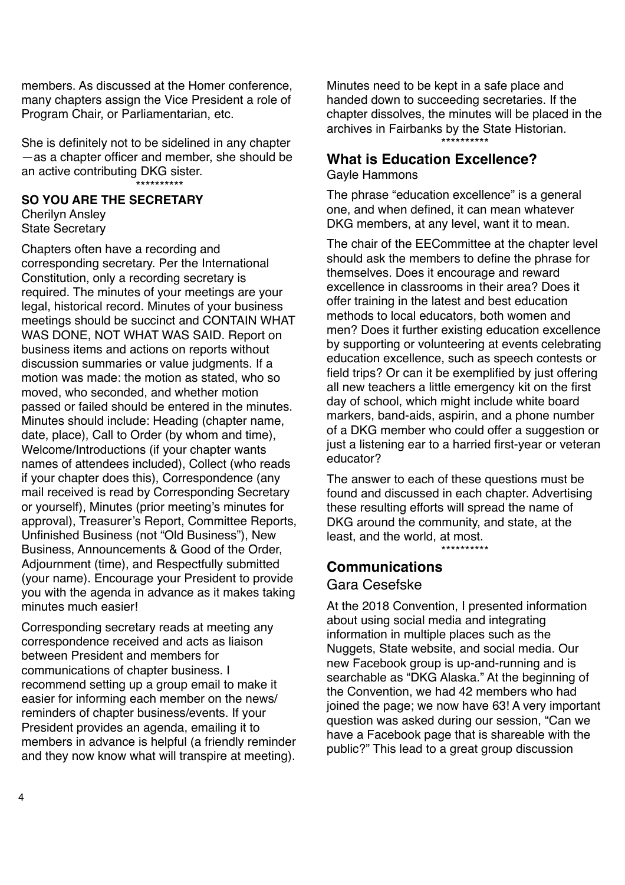members. As discussed at the Homer conference, many chapters assign the Vice President a role of Program Chair, or Parliamentarian, etc.

She is definitely not to be sidelined in any chapter —as a chapter officer and member, she should be an active contributing DKG sister. \*\*\*\*\*\*\*\*\*\*

#### **SO YOU ARE THE SECRETARY**

Cherilyn Ansley State Secretary

Chapters often have a recording and corresponding secretary. Per the International Constitution, only a recording secretary is required. The minutes of your meetings are your legal, historical record. Minutes of your business meetings should be succinct and CONTAIN WHAT WAS DONE, NOT WHAT WAS SAID. Report on business items and actions on reports without discussion summaries or value judgments. If a motion was made: the motion as stated, who so moved, who seconded, and whether motion passed or failed should be entered in the minutes. Minutes should include: Heading (chapter name, date, place), Call to Order (by whom and time), Welcome/Introductions (if your chapter wants names of attendees included), Collect (who reads if your chapter does this), Correspondence (any mail received is read by Corresponding Secretary or yourself), Minutes (prior meeting's minutes for approval), Treasurer's Report, Committee Reports, Unfinished Business (not "Old Business"), New Business, Announcements & Good of the Order, Adjournment (time), and Respectfully submitted (your name). Encourage your President to provide you with the agenda in advance as it makes taking minutes much easier!

Corresponding secretary reads at meeting any correspondence received and acts as liaison between President and members for communications of chapter business. I recommend setting up a group email to make it easier for informing each member on the news/ reminders of chapter business/events. If your President provides an agenda, emailing it to members in advance is helpful (a friendly reminder and they now know what will transpire at meeting).

Minutes need to be kept in a safe place and handed down to succeeding secretaries. If the chapter dissolves, the minutes will be placed in the archives in Fairbanks by the State Historian.

\*\*\*\*\*\*\*\*\*\*

## **What is Education Excellence?**

Gayle Hammons

The phrase "education excellence" is a general one, and when defined, it can mean whatever DKG members, at any level, want it to mean.

The chair of the EECommittee at the chapter level should ask the members to define the phrase for themselves. Does it encourage and reward excellence in classrooms in their area? Does it offer training in the latest and best education methods to local educators, both women and men? Does it further existing education excellence by supporting or volunteering at events celebrating education excellence, such as speech contests or field trips? Or can it be exemplified by just offering all new teachers a little emergency kit on the first day of school, which might include white board markers, band-aids, aspirin, and a phone number of a DKG member who could offer a suggestion or just a listening ear to a harried first-year or veteran educator?

The answer to each of these questions must be found and discussed in each chapter. Advertising these resulting efforts will spread the name of DKG around the community, and state, at the least, and the world, at most.

\*\*\*\*\*\*\*\*\*\*

## **Communications**

#### Gara Cesefske

At the 2018 Convention, I presented information about using social media and integrating information in multiple places such as the Nuggets, State website, and social media. Our new Facebook group is up-and-running and is searchable as "DKG Alaska." At the beginning of the Convention, we had 42 members who had joined the page; we now have 63! A very important question was asked during our session, "Can we have a Facebook page that is shareable with the public?" This lead to a great group discussion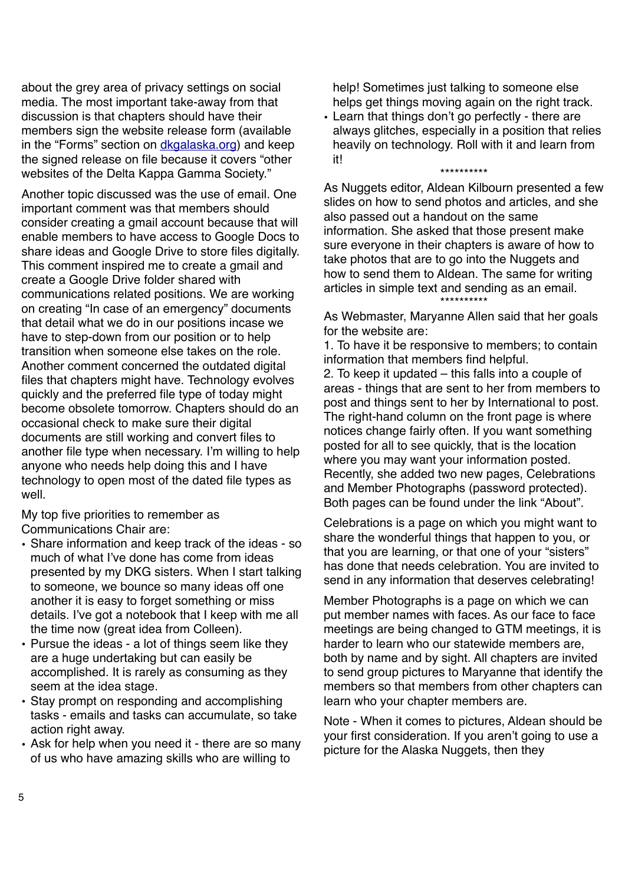about the grey area of privacy settings on social media. The most important take-away from that discussion is that chapters should have their members sign the website release form (available in the "Forms" section on [dkgalaska.org](http://dkgalaska.org)) and keep the signed release on file because it covers "other websites of the Delta Kappa Gamma Society."

Another topic discussed was the use of email. One important comment was that members should consider creating a gmail account because that will enable members to have access to Google Docs to share ideas and Google Drive to store files digitally. This comment inspired me to create a gmail and create a Google Drive folder shared with communications related positions. We are working on creating "In case of an emergency" documents that detail what we do in our positions incase we have to step-down from our position or to help transition when someone else takes on the role. Another comment concerned the outdated digital files that chapters might have. Technology evolves quickly and the preferred file type of today might become obsolete tomorrow. Chapters should do an occasional check to make sure their digital documents are still working and convert files to another file type when necessary. I'm willing to help anyone who needs help doing this and I have technology to open most of the dated file types as well.

My top five priorities to remember as Communications Chair are:

- Share information and keep track of the ideas so much of what I've done has come from ideas presented by my DKG sisters. When I start talking to someone, we bounce so many ideas off one another it is easy to forget something or miss details. I've got a notebook that I keep with me all the time now (great idea from Colleen).
- Pursue the ideas a lot of things seem like they are a huge undertaking but can easily be accomplished. It is rarely as consuming as they seem at the idea stage.
- Stay prompt on responding and accomplishing tasks - emails and tasks can accumulate, so take action right away.
- Ask for help when you need it there are so many of us who have amazing skills who are willing to

help! Sometimes just talking to someone else helps get things moving again on the right track.

• Learn that things don't go perfectly - there are always glitches, especially in a position that relies heavily on technology. Roll with it and learn from it! \*\*\*\*\*\*\*\*\*\*

As Nuggets editor, Aldean Kilbourn presented a few slides on how to send photos and articles, and she also passed out a handout on the same information. She asked that those present make sure everyone in their chapters is aware of how to take photos that are to go into the Nuggets and how to send them to Aldean. The same for writing articles in simple text and sending as an email. \*\*\*\*\*\*\*\*\*\*

As Webmaster, Maryanne Allen said that her goals for the website are:

1. To have it be responsive to members; to contain information that members find helpful.

2. To keep it updated – this falls into a couple of areas - things that are sent to her from members to post and things sent to her by International to post. The right-hand column on the front page is where notices change fairly often. If you want something posted for all to see quickly, that is the location where you may want your information posted. Recently, she added two new pages, Celebrations and Member Photographs (password protected). Both pages can be found under the link "About".

Celebrations is a page on which you might want to share the wonderful things that happen to you, or that you are learning, or that one of your "sisters" has done that needs celebration. You are invited to send in any information that deserves celebrating!

Member Photographs is a page on which we can put member names with faces. As our face to face meetings are being changed to GTM meetings, it is harder to learn who our statewide members are, both by name and by sight. All chapters are invited to send group pictures to Maryanne that identify the members so that members from other chapters can learn who your chapter members are.

Note - When it comes to pictures, Aldean should be your first consideration. If you aren't going to use a picture for the Alaska Nuggets, then they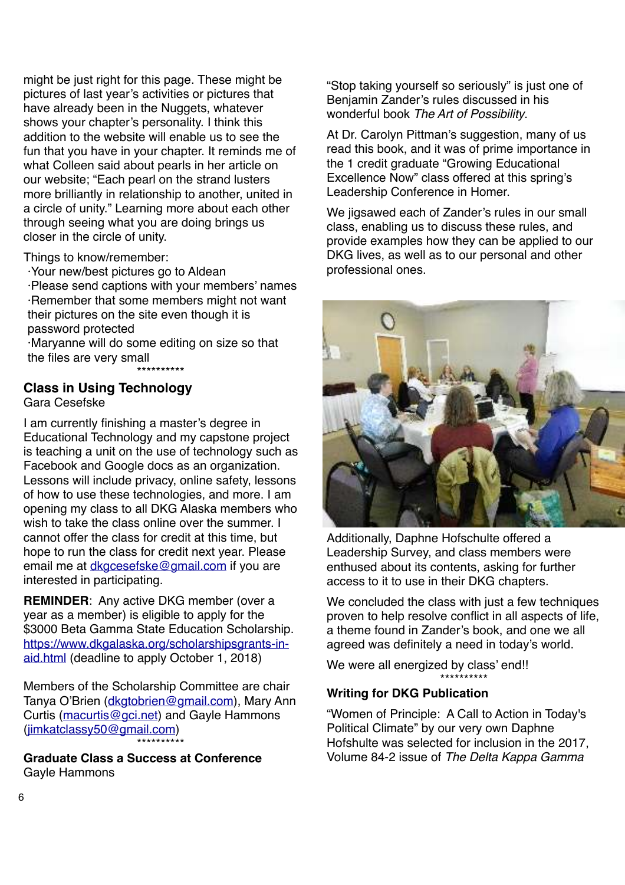might be just right for this page. These might be pictures of last year's activities or pictures that have already been in the Nuggets, whatever shows your chapter's personality. I think this addition to the website will enable us to see the fun that you have in your chapter. It reminds me of what Colleen said about pearls in her article on our website; "Each pearl on the strand lusters more brilliantly in relationship to another, united in a circle of unity." Learning more about each other through seeing what you are doing brings us closer in the circle of unity.

Things to know/remember:

·Your new/best pictures go to Aldean

·Please send captions with your members' names ·Remember that some members might not want their pictures on the site even though it is password protected

·Maryanne will do some editing on size so that the files are very small

\*\*\*\*\*\*\*\*\*\*

#### **Class in Using Technology** Gara Cesefske

I am currently finishing a master's degree in Educational Technology and my capstone project is teaching a unit on the use of technology such as Facebook and Google docs as an organization. Lessons will include privacy, online safety, lessons of how to use these technologies, and more. I am opening my class to all DKG Alaska members who wish to take the class online over the summer. I cannot offer the class for credit at this time, but hope to run the class for credit next year. Please email me at [dkgcesefske@gmail.com](mailto:dkgcesefske@gmail.com) if you are interested in participating.

**REMINDER**: Any active DKG member (over a year as a member) is eligible to apply for the \$3000 Beta Gamma State Education Scholarship. [https://www.dkgalaska.org/scholarshipsgrants-in](https://www.dkgalaska.org/scholarshipsgrants-in-aid.html)[aid.html](https://www.dkgalaska.org/scholarshipsgrants-in-aid.html) (deadline to apply October 1, 2018)

Members of the Scholarship Committee are chair Tanya O'Brien ([dkgtobrien@gmail.com](mailto:dkgtobrien@gmail.com)), Mary Ann Curtis ([macurtis@gci.net](mailto:macurtis@gci.net)) and Gayle Hammons [\(jimkatclassy50@gmail.com](mailto:jimkatclassy50@gmail.com)) \*\*\*\*\*\*\*\*\*\*

**Graduate Class a Success at Conference** Gayle Hammons

"Stop taking yourself so seriously" is just one of Benjamin Zander's rules discussed in his wonderful book The Art of Possibility.

At Dr. Carolyn Pittman's suggestion, many of us read this book, and it was of prime importance in the 1 credit graduate "Growing Educational Excellence Now" class offered at this spring's Leadership Conference in Homer.

We jigsawed each of Zander's rules in our small class, enabling us to discuss these rules, and provide examples how they can be applied to our DKG lives, as well as to our personal and other professional ones.



Additionally, Daphne Hofschulte offered a Leadership Survey, and class members were enthused about its contents, asking for further access to it to use in their DKG chapters.

We concluded the class with just a few techniques proven to help resolve conflict in all aspects of life, a theme found in Zander's book, and one we all agreed was definitely a need in today's world.

We were all energized by class' end!! \*\*\*\*\*\*\*\*\*\*

#### **Writing for DKG Publication**

"Women of Principle: A Call to Action in Today's Political Climate" by our very own Daphne Hofshulte was selected for inclusion in the 2017, Volume 84-2 issue of The Delta Kappa Gamma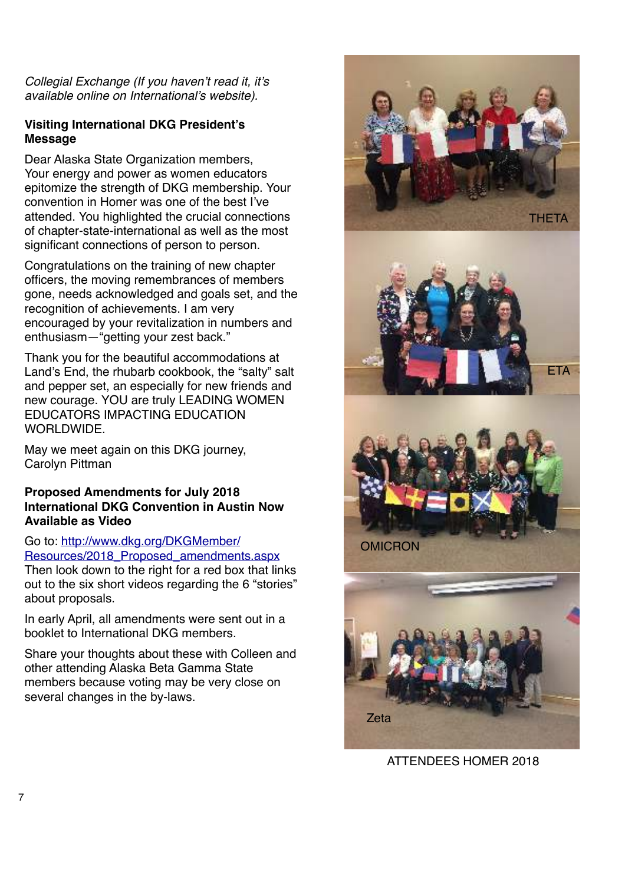Collegial Exchange (If you haven't read it, it's available online on International's website).

#### **Visiting International DKG President's Message**

Dear Alaska State Organization members, Your energy and power as women educators epitomize the strength of DKG membership. Your convention in Homer was one of the best I've attended. You highlighted the crucial connections of chapter-state-international as well as the most significant connections of person to person.

Congratulations on the training of new chapter officers, the moving remembrances of members gone, needs acknowledged and goals set, and the recognition of achievements. I am very encouraged by your revitalization in numbers and enthusiasm—"getting your zest back."

Thank you for the beautiful accommodations at Land's End, the rhubarb cookbook, the "salty" salt and pepper set, an especially for new friends and new courage. YOU are truly LEADING WOMEN EDUCATORS IMPACTING EDUCATION WORLDWIDE.

May we meet again on this DKG journey, Carolyn Pittman

#### **Proposed Amendments for July 2018 International DKG Convention in Austin Now Available as Video**

Go to: [http://www.dkg.org/DKGMember/](http://www.dkg.org/DKGMember/Resources/2018_Proposed_amendments.aspx) [Resources/2018\\_Proposed\\_amendments.aspx](http://www.dkg.org/DKGMember/Resources/2018_Proposed_amendments.aspx)

Then look down to the right for a red box that links out to the six short videos regarding the 6 "stories" about proposals.

In early April, all amendments were sent out in a booklet to International DKG members.

Share your thoughts about these with Colleen and other attending Alaska Beta Gamma State members because voting may be very close on several changes in the by-laws.



ATTENDEES HOMER 2018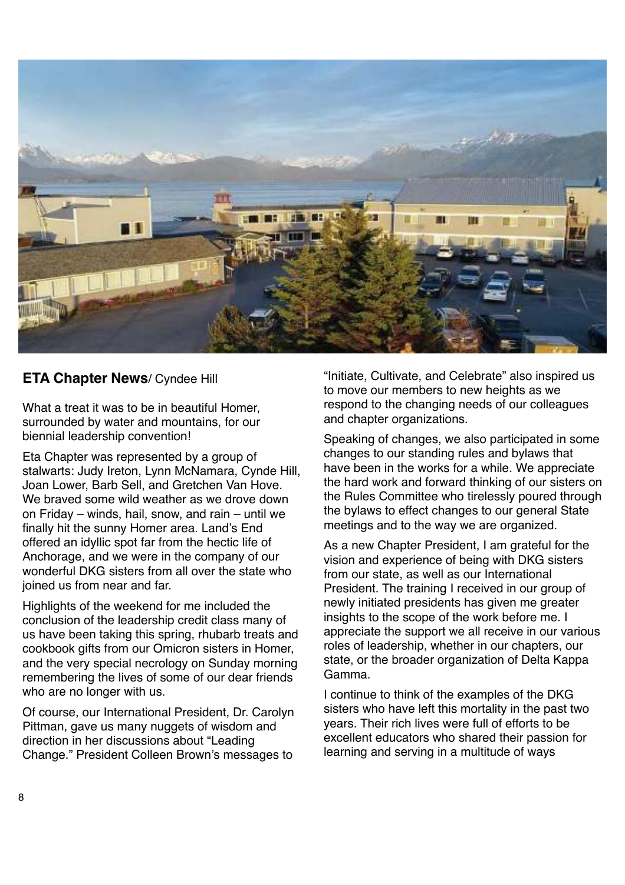

#### **ETA Chapter News**/ Cyndee Hill

What a treat it was to be in beautiful Homer, surrounded by water and mountains, for our biennial leadership convention!

Eta Chapter was represented by a group of stalwarts: Judy Ireton, Lynn McNamara, Cynde Hill, Joan Lower, Barb Sell, and Gretchen Van Hove. We braved some wild weather as we drove down on Friday – winds, hail, snow, and rain – until we finally hit the sunny Homer area. Land's End offered an idyllic spot far from the hectic life of Anchorage, and we were in the company of our wonderful DKG sisters from all over the state who joined us from near and far.

Highlights of the weekend for me included the conclusion of the leadership credit class many of us have been taking this spring, rhubarb treats and cookbook gifts from our Omicron sisters in Homer, and the very special necrology on Sunday morning remembering the lives of some of our dear friends who are no longer with us.

Of course, our International President, Dr. Carolyn Pittman, gave us many nuggets of wisdom and direction in her discussions about "Leading Change." President Colleen Brown's messages to

"Initiate, Cultivate, and Celebrate" also inspired us to move our members to new heights as we respond to the changing needs of our colleagues and chapter organizations.

Speaking of changes, we also participated in some changes to our standing rules and bylaws that have been in the works for a while. We appreciate the hard work and forward thinking of our sisters on the Rules Committee who tirelessly poured through the bylaws to effect changes to our general State meetings and to the way we are organized.

As a new Chapter President, I am grateful for the vision and experience of being with DKG sisters from our state, as well as our International President. The training I received in our group of newly initiated presidents has given me greater insights to the scope of the work before me. I appreciate the support we all receive in our various roles of leadership, whether in our chapters, our state, or the broader organization of Delta Kappa Gamma.

I continue to think of the examples of the DKG sisters who have left this mortality in the past two years. Their rich lives were full of efforts to be excellent educators who shared their passion for learning and serving in a multitude of ways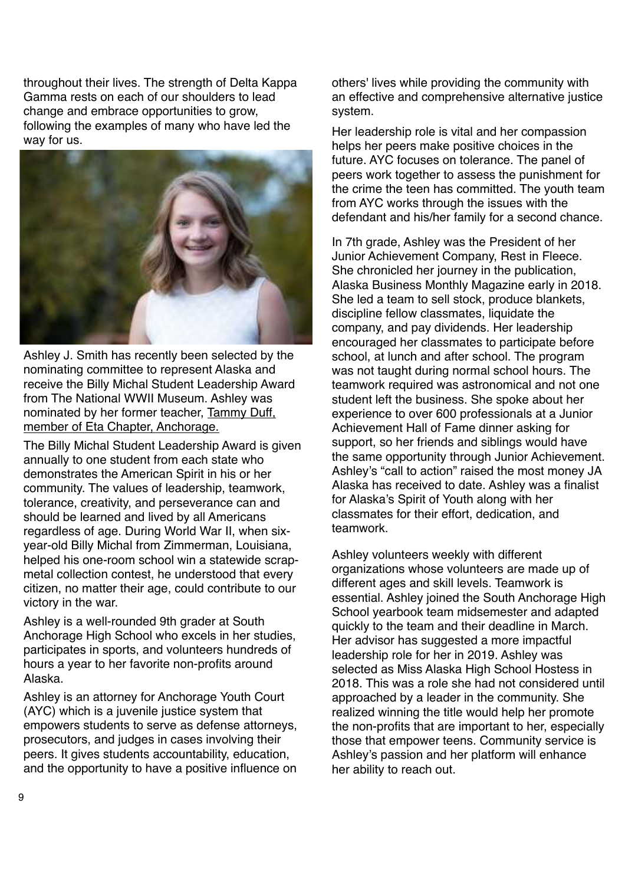throughout their lives. The strength of Delta Kappa Gamma rests on each of our shoulders to lead change and embrace opportunities to grow, following the examples of many who have led the way for us.



Ashley J. Smith has recently been selected by the nominating committee to represent Alaska and receive the Billy Michal Student Leadership Award from The National WWII Museum. Ashley was nominated by her former teacher, Tammy Duff, member of Eta Chapter, Anchorage.

The Billy Michal Student Leadership Award is given annually to one student from each state who demonstrates the American Spirit in his or her community. The values of leadership, teamwork, tolerance, creativity, and perseverance can and should be learned and lived by all Americans regardless of age. During World War II, when sixyear-old Billy Michal from Zimmerman, Louisiana, helped his one-room school win a statewide scrapmetal collection contest, he understood that every citizen, no matter their age, could contribute to our victory in the war.

Ashley is a well-rounded 9th grader at South Anchorage High School who excels in her studies, participates in sports, and volunteers hundreds of hours a year to her favorite non-profits around Alaska.

Ashley is an attorney for Anchorage Youth Court (AYC) which is a juvenile justice system that empowers students to serve as defense attorneys, prosecutors, and judges in cases involving their peers. It gives students accountability, education, and the opportunity to have a positive influence on others' lives while providing the community with an effective and comprehensive alternative justice system.

Her leadership role is vital and her compassion helps her peers make positive choices in the future. AYC focuses on tolerance. The panel of peers work together to assess the punishment for the crime the teen has committed. The youth team from AYC works through the issues with the defendant and his/her family for a second chance.

In 7th grade, Ashley was the President of her Junior Achievement Company, Rest in Fleece. She chronicled her journey in the publication, Alaska Business Monthly Magazine early in 2018. She led a team to sell stock, produce blankets, discipline fellow classmates, liquidate the company, and pay dividends. Her leadership encouraged her classmates to participate before school, at lunch and after school. The program was not taught during normal school hours. The teamwork required was astronomical and not one student left the business. She spoke about her experience to over 600 professionals at a Junior Achievement Hall of Fame dinner asking for support, so her friends and siblings would have the same opportunity through Junior Achievement. Ashley's "call to action" raised the most money JA Alaska has received to date. Ashley was a finalist for Alaska's Spirit of Youth along with her classmates for their effort, dedication, and teamwork.

Ashley volunteers weekly with different organizations whose volunteers are made up of different ages and skill levels. Teamwork is essential. Ashley joined the South Anchorage High School yearbook team midsemester and adapted quickly to the team and their deadline in March. Her advisor has suggested a more impactful leadership role for her in 2019. Ashley was selected as Miss Alaska High School Hostess in 2018. This was a role she had not considered until approached by a leader in the community. She realized winning the title would help her promote the non-profits that are important to her, especially those that empower teens. Community service is Ashley's passion and her platform will enhance her ability to reach out.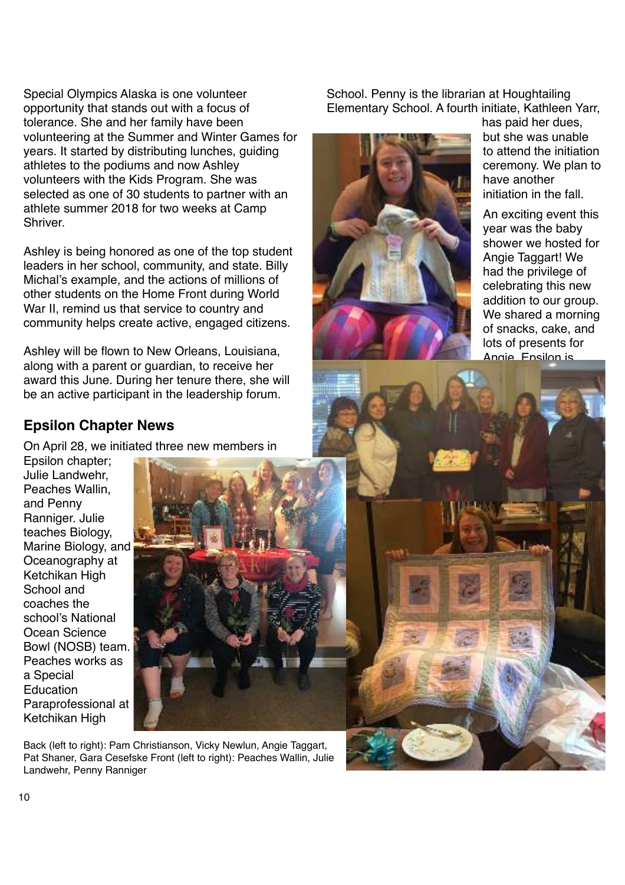Special Olympics Alaska is one volunteer opportunity that stands out with a focus of tolerance. She and her family have been volunteering at the Summer and Winter Games for years. It started by distributing lunches, guiding athletes to the podiums and now Ashley volunteers with the Kids Program. She was selected as one of 30 students to partner with an athlete summer 2018 for two weeks at Camp Shriver.

Ashley is being honored as one of the top student leaders in her school, community, and state. Billy Michal's example, and the actions of millions of other students on the Home Front during World War II, remind us that service to country and community helps create active, engaged citizens.

Ashley will be flown to New Orleans, Louisiana, along with a parent or guardian, to receive her award this June. During her tenure there, she will be an active participant in the leadership forum.

## **Epsilon Chapter News**

On April 28, we initiated three new members in

Epsilon chapter; Julie Landwehr, Peaches Wallin, and Penny Ranniger. Julie teaches Biology, Marine Biology, and Oceanography at Ketchikan High School and coaches the school's National Ocean Science Bowl (NOSB) team. Peaches works as a Special Education Paraprofessional at Ketchikan High



Back (left to right): Pam Christianson, Vicky Newlun, Angie Taggart, Pat Shaner, Gara Cesefske Front (left to right): Peaches Wallin, Julie Landwehr, Penny Ranniger

School. Penny is the librarian at Houghtailing Elementary School. A fourth initiate, Kathleen Yarr,



meeting baby girl Taggart in June 2014

has paid her dues, but she was unable to attend the initiation ceremony. We plan to have another initiation in the fall.

An exciting event this year was the baby shower we hosted for Angie Taggart! We had the privilege of celebrating this new addition to our group. We shared a morning of snacks, cake, and lots of presents for Angie. Epsilon is

looking forward to

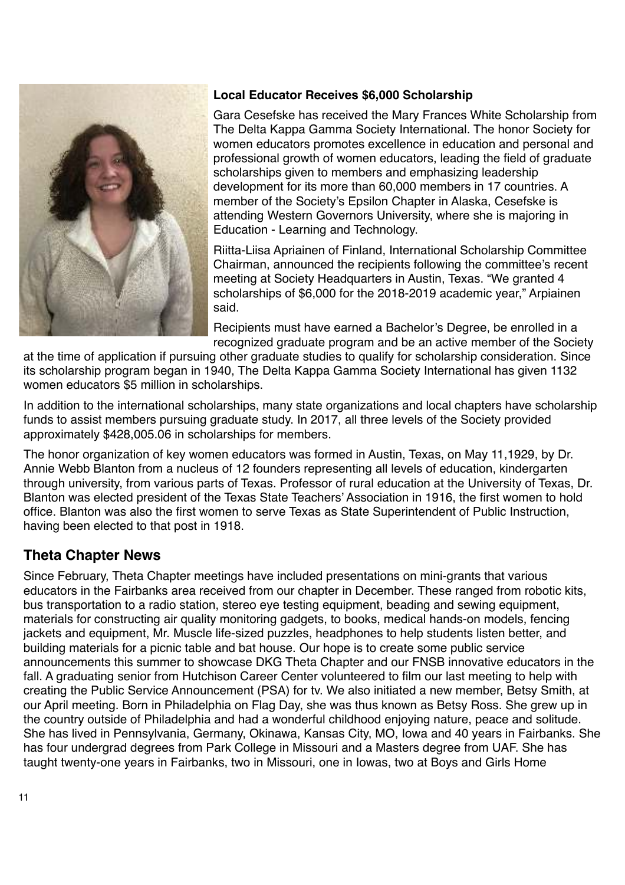

## **Local Educator Receives \$6,000 Scholarship**

Gara Cesefske has received the Mary Frances White Scholarship from The Delta Kappa Gamma Society International. The honor Society for women educators promotes excellence in education and personal and professional growth of women educators, leading the field of graduate scholarships given to members and emphasizing leadership development for its more than 60,000 members in 17 countries. A member of the Society's Epsilon Chapter in Alaska, Cesefske is attending Western Governors University, where she is majoring in Education - Learning and Technology.

Riitta-Liisa Apriainen of Finland, International Scholarship Committee Chairman, announced the recipients following the committee's recent meeting at Society Headquarters in Austin, Texas. "We granted 4 scholarships of \$6,000 for the 2018-2019 academic year," Arpiainen said.

Recipients must have earned a Bachelor's Degree, be enrolled in a recognized graduate program and be an active member of the Society

at the time of application if pursuing other graduate studies to qualify for scholarship consideration. Since its scholarship program began in 1940, The Delta Kappa Gamma Society International has given 1132 women educators \$5 million in scholarships.

In addition to the international scholarships, many state organizations and local chapters have scholarship funds to assist members pursuing graduate study. In 2017, all three levels of the Society provided approximately \$428,005.06 in scholarships for members.

The honor organization of key women educators was formed in Austin, Texas, on May 11,1929, by Dr. Annie Webb Blanton from a nucleus of 12 founders representing all levels of education, kindergarten through university, from various parts of Texas. Professor of rural education at the University of Texas, Dr. Blanton was elected president of the Texas State Teachers' Association in 1916, the first women to hold office. Blanton was also the first women to serve Texas as State Superintendent of Public Instruction, having been elected to that post in 1918.

## **Theta Chapter News**

Since February, Theta Chapter meetings have included presentations on mini-grants that various educators in the Fairbanks area received from our chapter in December. These ranged from robotic kits, bus transportation to a radio station, stereo eye testing equipment, beading and sewing equipment, materials for constructing air quality monitoring gadgets, to books, medical hands-on models, fencing jackets and equipment, Mr. Muscle life-sized puzzles, headphones to help students listen better, and building materials for a picnic table and bat house. Our hope is to create some public service announcements this summer to showcase DKG Theta Chapter and our FNSB innovative educators in the fall. A graduating senior from Hutchison Career Center volunteered to film our last meeting to help with creating the Public Service Announcement (PSA) for tv. We also initiated a new member, Betsy Smith, at our April meeting. Born in Philadelphia on Flag Day, she was thus known as Betsy Ross. She grew up in the country outside of Philadelphia and had a wonderful childhood enjoying nature, peace and solitude. She has lived in Pennsylvania, Germany, Okinawa, Kansas City, MO, Iowa and 40 years in Fairbanks. She has four undergrad degrees from Park College in Missouri and a Masters degree from UAF. She has taught twenty-one years in Fairbanks, two in Missouri, one in Iowas, two at Boys and Girls Home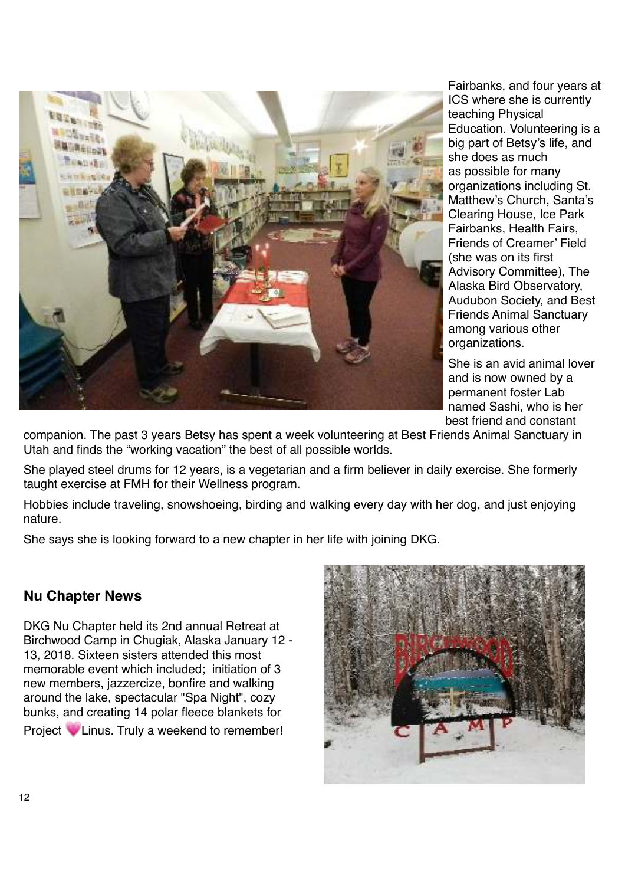

Fairbanks, and four years at ICS where she is currently teaching Physical Education. Volunteering is a big part of Betsy's life, and she does as much as possible for many organizations including St. Matthew's Church, Santa's Clearing House, Ice Park Fairbanks, Health Fairs, Friends of Creamer' Field (she was on its first Advisory Committee), The Alaska Bird Observatory, Audubon Society, and Best Friends Animal Sanctuary among various other organizations.

She is an avid animal lover and is now owned by a permanent foster Lab named Sashi, who is her best friend and constant

companion. The past 3 years Betsy has spent a week volunteering at Best Friends Animal Sanctuary in Utah and finds the "working vacation" the best of all possible worlds.

She played steel drums for 12 years, is a vegetarian and a firm believer in daily exercise. She formerly taught exercise at FMH for their Wellness program.

Hobbies include traveling, snowshoeing, birding and walking every day with her dog, and just enjoying nature.

She says she is looking forward to a new chapter in her life with joining DKG.

## **Nu Chapter News**

DKG Nu Chapter held its 2nd annual Retreat at Birchwood Camp in Chugiak, Alaska January 12 - 13, 2018. Sixteen sisters attended this most memorable event which included; initiation of 3 new members, jazzercize, bonfire and walking around the lake, spectacular "Spa Night", cozy bunks, and creating 14 polar fleece blankets for Project **U** Linus. Truly a weekend to remember!

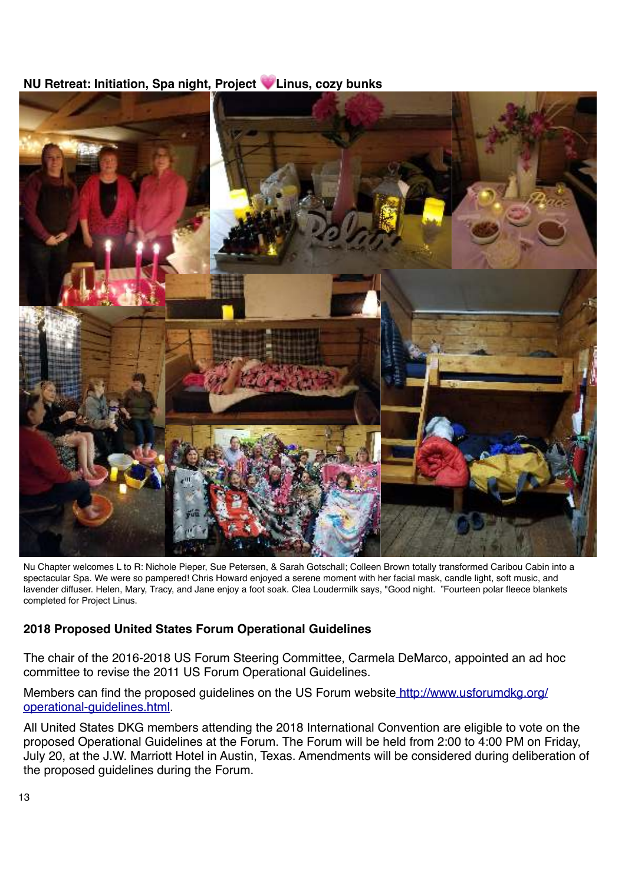## **NU Retreat: Initiation, Spa night, Project Linus, cozy bunks**



Nu Chapter welcomes L to R: Nichole Pieper, Sue Petersen, & Sarah Gotschall; Colleen Brown totally transformed Caribou Cabin into a spectacular Spa. We were so pampered! Chris Howard enjoyed a serene moment with her facial mask, candle light, soft music, and lavender diffuser. Helen, Mary, Tracy, and Jane enjoy a foot soak. Clea Loudermilk says, "Good night. "Fourteen polar fleece blankets completed for Project Linus.

## **2018 Proposed United States Forum Operational Guidelines**

The chair of the 2016-2018 US Forum Steering Committee, Carmela DeMarco, appointed an ad hoc committee to revise the 2011 US Forum Operational Guidelines.

Members can find the proposed guidelines on the US Forum websit[e http://www.usforumdkg.org/](http://www.usforumdkg.org/operational-guidelines.html) [operational-guidelines.html](http://www.usforumdkg.org/operational-guidelines.html).

All United States DKG members attending the 2018 International Convention are eligible to vote on the proposed Operational Guidelines at the Forum. The Forum will be held from 2:00 to 4:00 PM on Friday, July 20, at the J.W. Marriott Hotel in Austin, Texas. Amendments will be considered during deliberation of the proposed guidelines during the Forum.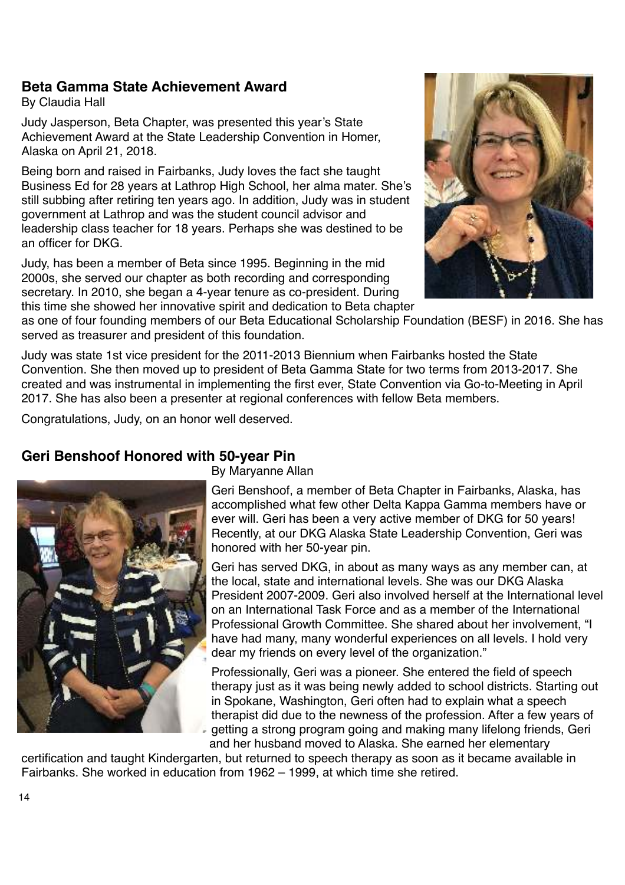## **Beta Gamma State Achievement Award**

By Claudia Hall

Judy Jasperson, Beta Chapter, was presented this year's State Achievement Award at the State Leadership Convention in Homer, Alaska on April 21, 2018.

Being born and raised in Fairbanks, Judy loves the fact she taught Business Ed for 28 years at Lathrop High School, her alma mater. She's still subbing after retiring ten years ago. In addition, Judy was in student government at Lathrop and was the student council advisor and leadership class teacher for 18 years. Perhaps she was destined to be an officer for DKG.

Judy, has been a member of Beta since 1995. Beginning in the mid 2000s, she served our chapter as both recording and corresponding secretary. In 2010, she began a 4-year tenure as co-president. During this time she showed her innovative spirit and dedication to Beta chapter



as one of four founding members of our Beta Educational Scholarship Foundation (BESF) in 2016. She has served as treasurer and president of this foundation.

Judy was state 1st vice president for the 2011-2013 Biennium when Fairbanks hosted the State Convention. She then moved up to president of Beta Gamma State for two terms from 2013-2017. She created and was instrumental in implementing the first ever, State Convention via Go-to-Meeting in April 2017. She has also been a presenter at regional conferences with fellow Beta members.

Congratulations, Judy, on an honor well deserved.

## **Geri Benshoof Honored with 50-year Pin**



By Maryanne Allan

Geri Benshoof, a member of Beta Chapter in Fairbanks, Alaska, has accomplished what few other Delta Kappa Gamma members have or ever will. Geri has been a very active member of DKG for 50 years! Recently, at our DKG Alaska State Leadership Convention, Geri was honored with her 50-year pin.

Geri has served DKG, in about as many ways as any member can, at the local, state and international levels. She was our DKG Alaska President 2007-2009. Geri also involved herself at the International level on an International Task Force and as a member of the International Professional Growth Committee. She shared about her involvement, "I have had many, many wonderful experiences on all levels. I hold very dear my friends on every level of the organization."

Professionally, Geri was a pioneer. She entered the field of speech therapy just as it was being newly added to school districts. Starting out in Spokane, Washington, Geri often had to explain what a speech therapist did due to the newness of the profession. After a few years of getting a strong program going and making many lifelong friends, Geri and her husband moved to Alaska. She earned her elementary

certification and taught Kindergarten, but returned to speech therapy as soon as it became available in Fairbanks. She worked in education from 1962 – 1999, at which time she retired.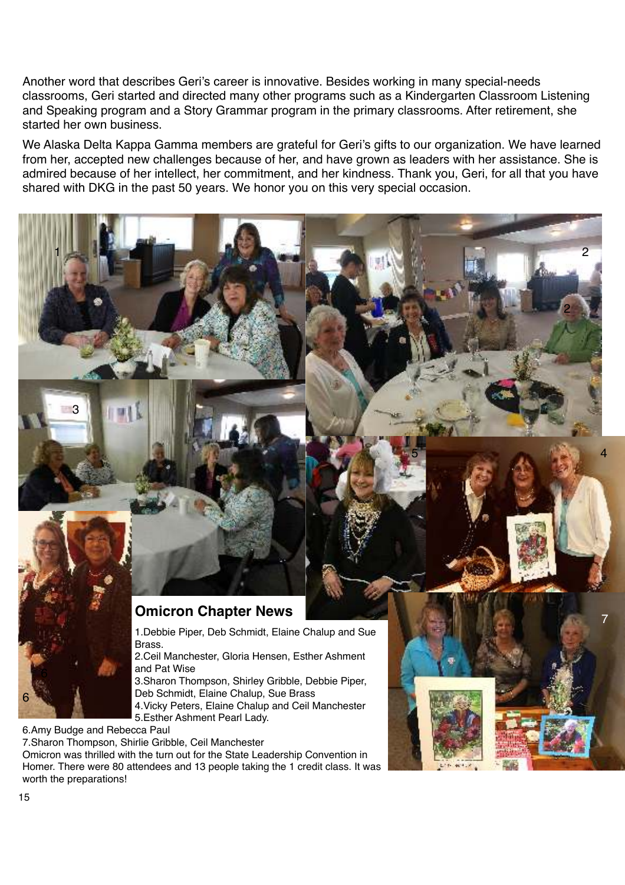Another word that describes Geri's career is innovative. Besides working in many special-needs classrooms, Geri started and directed many other programs such as a Kindergarten Classroom Listening and Speaking program and a Story Grammar program in the primary classrooms. After retirement, she started her own business.

We Alaska Delta Kappa Gamma members are grateful for Geri's gifts to our organization. We have learned from her, accepted new challenges because of her, and have grown as leaders with her assistance. She is admired because of her intellect, her commitment, and her kindness. Thank you, Geri, for all that you have shared with DKG in the past 50 years. We honor you on this very special occasion.



1.Debbie Piper, Deb Schmidt, Elaine Chalup and Sue Brass.

2.Ceil Manchester, Gloria Hensen, Esther Ashment and Pat Wise

3.Sharon Thompson, Shirley Gribble, Debbie Piper, Deb Schmidt, Elaine Chalup, Sue Brass

4.Vicky Peters, Elaine Chalup and Ceil Manchester 5.Esther Ashment Pearl Lady.

6.Amy Budge and Rebecca Paul

1

3

7.Sharon Thompson, Shirlie Gribble, Ceil Manchester

Omicron was thrilled with the turn out for the State Leadership Convention in Homer. There were 80 attendees and 13 people taking the 1 credit class. It was worth the preparations!



5

2

2

4

6